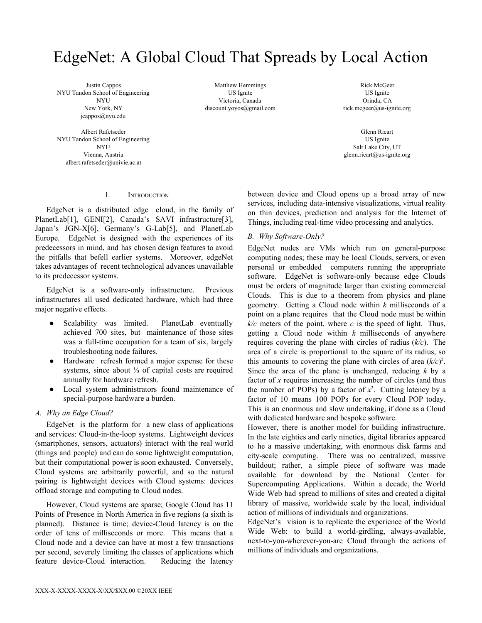# EdgeNet: A Global Cloud That Spreads by Local Action

Justin Cappos NYU Tandon School of Engineering **NYU** New York, NY jcappos@nyu.edu

Albert Rafetseder NYU Tandon School of Engineering **NYU** Vienna, Austria albert.rafetseder@univie.ac.at

Matthew Hemmings US Ignite Victoria, Canada discount.yoyos@gmail.com

Rick McGeer US Ignite Orinda, CA rick.mcgeer@us-ignite.org

Glenn Ricart US Ignite Salt Lake City, UT glenn.ricart@us-ignite.org

# I. INTRODUCTION

EdgeNet is a distributed edge cloud, in the family of PlanetLab[1], GENI[2], Canada's SAVI infrastructure[3], Japan's JGN-X[6], Germany's G-Lab[5], and PlanetLab Europe. EdgeNet is designed with the experiences of its predecessors in mind, and has chosen design features to avoid the pitfalls that befell earlier systems. Moreover, edgeNet takes advantages of recent technological advances unavailable to its predecessor systems.

EdgeNet is a software-only infrastructure. Previous infrastructures all used dedicated hardware, which had three major negative effects.

- Scalability was limited. PlanetLab eventually achieved 700 sites, but maintenance of those sites was a full-time occupation for a team of six, largely troubleshooting node failures.
- Hardware refresh formed a major expense for these systems, since about <sup>1</sup>/<sub>3</sub> of capital costs are required annually for hardware refresh.
- Local system administrators found maintenance of special-purpose hardware a burden.

## *A. Why an Edge Cloud?*

EdgeNet is the platform for a new class of applications and services: Cloud-in-the-loop systems. Lightweight devices (smartphones, sensors, actuators) interact with the real world (things and people) and can do some lightweight computation, but their computational power is soon exhausted. Conversely, Cloud systems are arbitrarily powerful, and so the natural pairing is lightweight devices with Cloud systems: devices offload storage and computing to Cloud nodes.

However, Cloud systems are sparse; Google Cloud has 11 Points of Presence in North America in five regions (a sixth is planned). Distance is time; device-Cloud latency is on the order of tens of milliseconds or more. This means that a Cloud node and a device can have at most a few transactions per second, severely limiting the classes of applications which feature device-Cloud interaction. Reducing the latency between device and Cloud opens up a broad array of new services, including data-intensive visualizations, virtual reality on thin devices, prediction and analysis for the Internet of Things, including real-time video processing and analytics.

# *B. Why Software-Only?*

EdgeNet nodes are VMs which run on general-purpose computing nodes; these may be local Clouds, servers, or even personal or embedded computers running the appropriate software. EdgeNet is software-only because edge Clouds must be orders of magnitude larger than existing commercial Clouds. This is due to a theorem from physics and plane geometry. Getting a Cloud node within *k* milliseconds of a point on a plane requires that the Cloud node must be within  $k/c$  meters of the point, where *c* is the speed of light. Thus, getting a Cloud node within *k* milliseconds of anywhere requires covering the plane with circles of radius (*k/c*). The area of a circle is proportional to the square of its radius, so this amounts to covering the plane with circles of area  $(k/c)^2$ . Since the area of the plane is unchanged, reducing *k* by a factor of *x* requires increasing the number of circles (and thus the number of POPs) by a factor of  $x^2$ . Cutting latency by a factor of 10 means 100 POPs for every Cloud POP today. This is an enormous and slow undertaking, if done as a Cloud with dedicated hardware and bespoke software.

However, there is another model for building infrastructure. In the late eighties and early nineties, digital libraries appeared to he a massive undertaking, with enormous disk farms and city-scale computing. There was no centralized, massive buildout; rather, a simple piece of software was made available for download by the National Center for Supercomputing Applications. Within a decade, the World Wide Web had spread to millions of sites and created a digital library of massive, worldwide scale by the local, individual action of millions of individuals and organizations.

EdgeNet's vision is to replicate the experience of the World Wide Web: to build a world-girdling, always-available, next-to-you-wherever-you-are Cloud through the actions of millions of individuals and organizations.